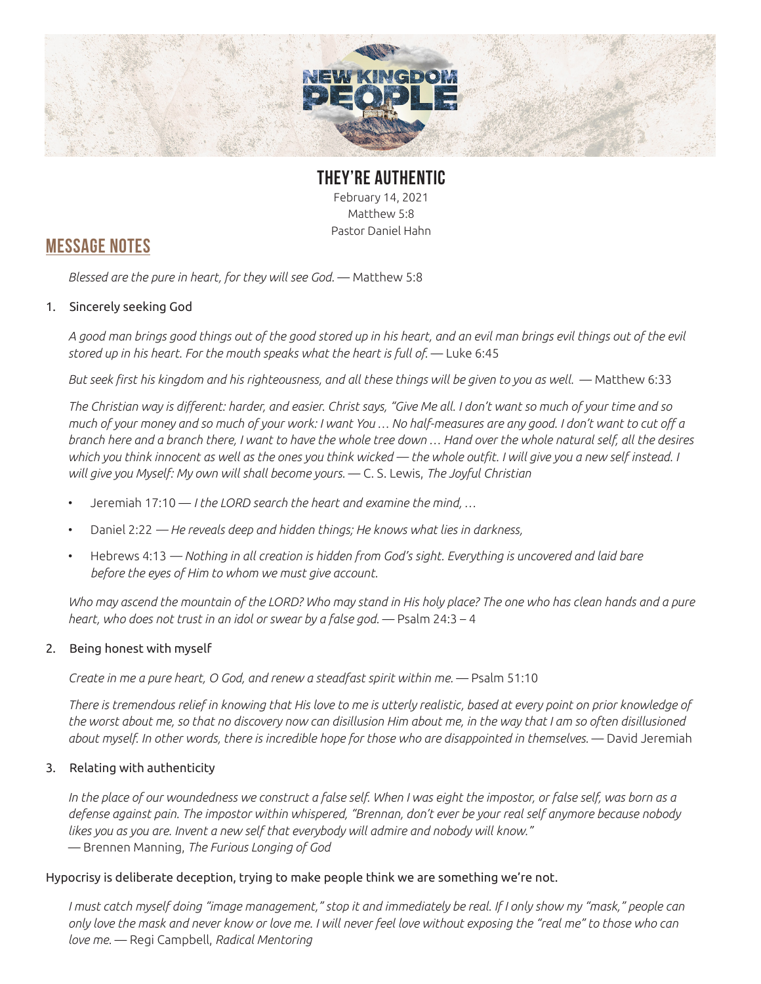

**THEY'RE AUTHENTIC** February 14, 2021 Matthew 5:8 Pastor Daniel Hahn

## **MESSAGE NOTES**

*Blessed are the pure in heart, for they will see God.* — Matthew 5:8

### 1. Sincerely seeking God

*A good man brings good things out of the good stored up in his heart, and an evil man brings evil things out of the evil*  stored up in his heart. For the mouth speaks what the heart is full of. - Luke 6:45

*But seek first his kingdom and his righteousness, and all these things will be given to you as well.* — Matthew 6:33

*The Christian way is different: harder, and easier. Christ says, "Give Me all. I don't want so much of your time and so much of your money and so much of your work: I want You … No half-measures are any good. I don't want to cut off a branch here and a branch there, I want to have the whole tree down … Hand over the whole natural self, all the desires which you think innocent as well as the ones you think wicked — the whole outfit. I will give you a new self instead. I will give you Myself: My own will shall become yours.* — C. S. Lewis, *The Joyful Christian*

- Jeremiah 17:10 *I the LORD search the heart and examine the mind, …*
- Daniel 2:22 *He reveals deep and hidden things; He knows what lies in darkness,*
- Hebrews 4:13 *Nothing in all creation is hidden from God's sight. Everything is uncovered and laid bare before the eyes of Him to whom we must give account.*

*Who may ascend the mountain of the LORD? Who may stand in His holy place? The one who has clean hands and a pure heart, who does not trust in an idol or swear by a false god.* — Psalm 24:3 – 4

### 2. Being honest with myself

*Create in me a pure heart, O God, and renew a steadfast spirit within me.* — Psalm 51:10

*There is tremendous relief in knowing that His love to me is utterly realistic, based at every point on prior knowledge of the worst about me, so that no discovery now can disillusion Him about me, in the way that I am so often disillusioned about myself. In other words, there is incredible hope for those who are disappointed in themselves.* — David Jeremiah

### 3. Relating with authenticity

*In the place of our woundedness we construct a false self. When I was eight the impostor, or false self, was born as a defense against pain. The impostor within whispered, "Brennan, don't ever be your real self anymore because nobody likes you as you are. Invent a new self that everybody will admire and nobody will know."*  — Brennen Manning, *The Furious Longing of God*

#### Hypocrisy is deliberate deception, trying to make people think we are something we're not.

*I must catch myself doing "image management," stop it and immediately be real. If I only show my "mask," people can only love the mask and never know or love me. I will never feel love without exposing the "real me" to those who can love me.* — Regi Campbell, *Radical Mentoring*